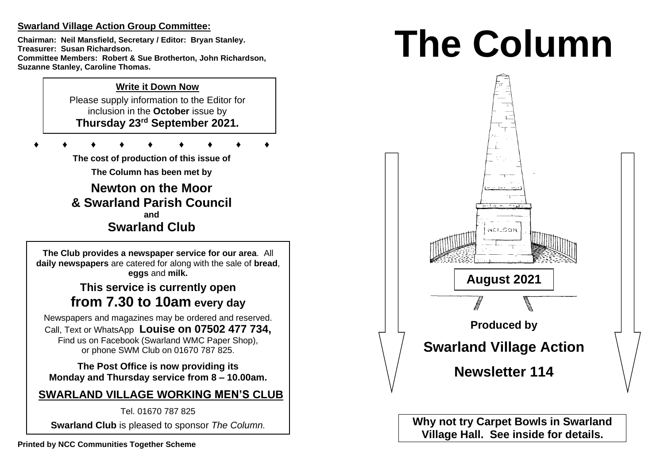## **Swarland Village Action Group Committee:**

**Chairman: Neil Mansfield, Secretary / Editor: Bryan Stanley. Treasurer: Susan Richardson. Committee Members: Robert & Sue Brotherton, John Richardson, Suzanne Stanley, Caroline Thomas.** 

## **Write it Down Now**

Please supply information to the Editor for inclusion in the **October** issue by **Thursday 23 rd September 2021.** 

**♦ ♦ ♦ ♦ ♦ ♦ ♦ ♦ ♦**

**The cost of production of this issue of** 

**The Column has been met by**

**Newton on the Moor & Swarland Parish Council and Swarland Club**

**The Club provides a newspaper service for our area**. All **daily newspapers** are catered for along with the sale of **bread**, **eggs** and **milk.**

# **This service is currently open from 7.30 to 10am every day**

Newspapers and magazines may be ordered and reserved. Call, Text or WhatsApp **Louise on 07502 477 734,**  Find us on Facebook (Swarland WMC Paper Shop), or phone SWM Club on 01670 787 825.

**The Post Office is now providing its Monday and Thursday service from 8 – 10.00am.** 

**SWARLAND VILLAGE WORKING MEN'S CLUB**

Tel. 01670 787 825 **Swarland Club** is pleased to sponsor *The Column.*

# **The Column**



**Why not try Carpet Bowls in Swarland Village Hall. See inside for details.**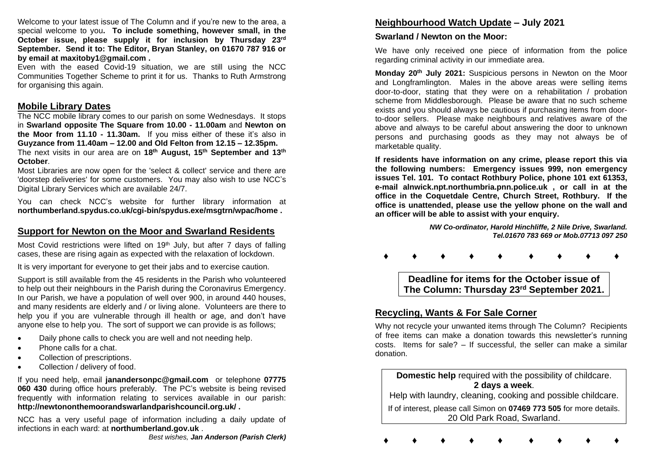Welcome to your latest issue of The Column and if you're new to the area, a special welcome to you**. To include something, however small, in the October issue, please supply it for inclusion by Thursday 23 rd September. Send it to: The Editor, Bryan Stanley, on 01670 787 916 or by email at maxitoby1@gmail.com .**

Even with the eased Covid-19 situation, we are still using the NCC Communities Together Scheme to print it for us. Thanks to Ruth Armstrong for organising this again.

#### **Mobile Library Dates**

The NCC mobile library comes to our parish on some Wednesdays. It stops in **Swarland opposite The Square from 10.00 - 11.00am** and **Newton on the Moor from 11.10 - 11.30am.** If you miss either of these it's also in **Guyzance from 11.40am – 12.00 and Old Felton from 12.15 – 12.35pm.**  The next visits in our area are on **18th August, 15th September and 13th October**.

Most Libraries are now open for the 'select & collect' service and there are 'doorstep deliveries' for some customers. You may also wish to use NCC's Digital Library Services which are available 24/7.

You can check NCC's website for further library information at **northumberland.spydus.co.uk/cgi-bin/spydus.exe/msgtrn/wpac/home .**

### **Support for Newton on the Moor and Swarland Residents**

Most Covid restrictions were lifted on 19<sup>th</sup> July, but after 7 days of falling cases, these are rising again as expected with the relaxation of lockdown.

It is very important for everyone to get their jabs and to exercise caution.

Support is still available from the 45 residents in the Parish who volunteered to help out their neighbours in the Parish during the Coronavirus Emergency. In our Parish, we have a population of well over 900, in around 440 houses, and many residents are elderly and / or living alone. Volunteers are there to help you if you are vulnerable through ill health or age, and don't have anyone else to help you. The sort of support we can provide is as follows;

- Daily phone calls to check you are well and not needing help.
- Phone calls for a chat.
- Collection of prescriptions.
- Collection / delivery of food.

If you need help, email **janandersonpc@gmail.com** or telephone **07775 060 430** during office hours preferably. The PC's website is being revised frequently with information relating to services available in our parish: **http://newtononthemoorandswarlandparishcouncil.org.uk/ .** 

NCC has a very useful page of information including a daily update of infections in each ward: at **northumberland.gov.uk** .

## **Neighbourhood Watch Update – July 2021**

#### **Swarland / Newton on the Moor:**

We have only received one piece of information from the police regarding criminal activity in our immediate area.

**Monday 20th July 2021:** Suspicious persons in Newton on the Moor and Longframlington. Males in the above areas were selling items door-to-door, stating that they were on a rehabilitation / probation scheme from Middlesborough. Please be aware that no such scheme exists and you should always be cautious if purchasing items from doorto-door sellers. Please make neighbours and relatives aware of the above and always to be careful about answering the door to unknown persons and purchasing goods as they may not always be of marketable quality.

**If residents have information on any crime, please report this via the following numbers: Emergency issues 999, non emergency issues Tel. 101. To contact Rothbury Police, phone 101 ext 61353, e-mail alnwick.npt.northumbria.pnn.police.uk , or call in at the office in the Coquetdale Centre, Church Street, Rothbury. If the office is unattended, please use the yellow phone on the wall and an officer will be able to assist with your enquiry.** 

> *NW Co-ordinator, Harold Hinchliffe, 2 Nile Drive, Swarland. Tel.01670 783 669 or Mob.07713 097 250*

**♦ ♦ ♦ ♦ ♦ ♦ ♦ ♦ ♦**

**Deadline for items for the October issue of The Column: Thursday 23 rd September 2021.**

## **Recycling, Wants & For Sale Corner**

Why not recycle your unwanted items through The Column? Recipients of free items can make a donation towards this newsletter's running costs. Items for sale? – If successful, the seller can make a similar donation.

#### **Domestic help** required with the possibility of childcare. **2 days a week**.

Help with laundry, cleaning, cooking and possible childcare.

If of interest, please call Simon on **07469 773 505** for more details. 20 Old Park Road, Swarland.

**♦ ♦ ♦ ♦ ♦ ♦ ♦ ♦ ♦**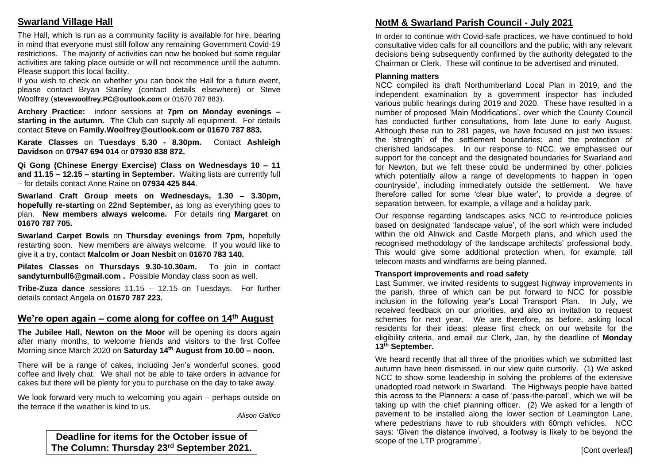## **Swarland Village Hall**

The Hall, which is run as a community facility is available for hire, bearing in mind that everyone must still follow any remaining Government Covid-19 restrictions. The majority of activities can now be booked but some regular activities are taking place outside or will not recommence until the autumn. Please support this local facility.

If you wish to check on whether you can book the Hall for a future event, please contact Bryan Stanley (contact details elsewhere) or Steve Woolfrey (**stevewoolfrey.PC@outlook.com** or 01670 787 883).

**Archery Practice:** indoor sessions at **7pm on Monday evenings – starting in the autumn. T**he Club can supply all equipment. For details contact **Steve** on **Family.Woolfrey@outlook.com or 01670 787 883.** 

**Karate Classes** on **Tuesdays 5.30 - 8.30pm.** Contact **Ashleigh Davidson** on **07947 694 014** or **07930 838 872.** 

**Qi Gong (Chinese Energy Exercise) Class on Wednesdays 10 – 11 and 11.15 – 12.15 – starting in September.** Waiting lists are currently full – for details contact Anne Raine on **07934 425 844**.

**Swarland Craft Group meets on Wednesdays, 1.30 – 3.30pm, hopefully re-starting** on **22nd September,** as long as everything goes to plan. **New members always welcome.** For details ring **Margaret** on **01670 787 705.** 

**Swarland Carpet Bowls** on **Thursday evenings from 7pm,** hopefully restarting soon. New members are always welcome. If you would like to give it a try, contact **Malcolm or Joan Nesbit** on **01670 783 140.** 

**Pilates Classes** on **Thursdays 9.30-10.30am.** To join in contact **sandyturnbull6@gmail.com .** Possible Monday class soon as well.

**Tribe-Zuza dance** sessions 11.15 – 12.15 on Tuesdays. For further details contact Angela on **01670 787 223.** 

## **We're open again – come along for coffee on 14th August**

**The Jubilee Hall, Newton on the Moor** will be opening its doors again after many months, to welcome friends and visitors to the first Coffee Morning since March 2020 on **Saturday 14th August from 10.00 – noon.**

There will be a range of cakes, including Jen's wonderful scones, good coffee and lively chat. We shall not be able to take orders in advance for cakes but there will be plenty for you to purchase on the day to take away.

We look forward very much to welcoming you again – perhaps outside on the terrace if the weather is kind to us.

*Alison Gallico*

**Deadline for items for the October issue of The Column: Thursday 23 rd September 2021.**

# **NotM & Swarland Parish Council - July 2021**

In order to continue with Covid-safe practices, we have continued to hold consultative video calls for all councillors and the public, with any relevant decisions being subsequently confirmed by the authority delegated to the Chairman or Clerk. These will continue to be advertised and minuted.

#### **Planning matters**

NCC compiled its draft Northumberland Local Plan in 2019, and the independent examination by a government inspector has included various public hearings during 2019 and 2020. These have resulted in a number of proposed 'Main Modifications', over which the County Council has conducted further consultations, from late June to early August. Although these run to 281 pages, we have focused on just two issues: the 'strength' of the settlement boundaries; and the protection of cherished landscapes. In our response to NCC, we emphasised our support for the concept and the designated boundaries for Swarland and for Newton, but we felt these could be undermined by other policies which potentially allow a range of developments to happen in 'open countryside', including immediately outside the settlement. We have therefore called for some 'clear blue water', to provide a degree of separation between, for example, a village and a holiday park.

Our response regarding landscapes asks NCC to re-introduce policies based on designated 'landscape value', of the sort which were included within the old Alnwick and Castle Morpeth plans, and which used the recognised methodology of the landscape architects' professional body. This would give some additional protection when, for example, tall telecom masts and windfarms are being planned.

#### **Transport improvements and road safety**

Last Summer, we invited residents to suggest highway improvements in the parish, three of which can be put forward to NCC for possible inclusion in the following year's Local Transport Plan. In July, we received feedback on our priorities, and also an invitation to request schemes for next year. We are therefore, as before, asking local residents for their ideas: please first check on our website for the eligibility criteria, and email our Clerk, Jan, by the deadline of **Monday 13th September.**

We heard recently that all three of the priorities which we submitted last autumn have been dismissed, in our view quite cursorily. (1) We asked NCC to show some leadership in solving the problems of the extensive unadopted road network in Swarland. The Highways people have batted this across to the Planners: a case of 'pass-the-parcel', which we will be taking up with the chief planning officer. (2) We asked for a length of pavement to be installed along the lower section of Leamington Lane, where pedestrians have to rub shoulders with 60mph vehicles. NCC says: 'Given the distance involved, a footway is likely to be beyond the scope of the LTP programme'.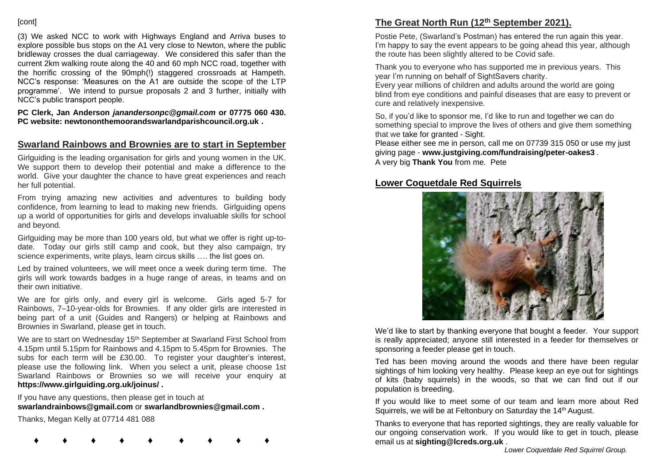#### **[cont]**

(3) We asked NCC to work with Highways England and Arriva buses to explore possible bus stops on the A1 very close to Newton, where the public bridleway crosses the dual carriageway. We considered this safer than the current 2km walking route along the 40 and 60 mph NCC road, together with the horrific crossing of the 90mph(!) staggered crossroads at Hampeth. NCC's response: 'Measures on the A1 are outside the scope of the LTP programme'. We intend to pursue proposals 2 and 3 further, initially with NCC's public transport people.

**PC Clerk, Jan Anderson** *janandersonpc@gmail.com* **or 07775 060 430. PC website: newtononthemoorandswarlandparishcouncil.org.uk .** 

#### **Swarland Rainbows and Brownies are to start in September**

Girlguiding is the leading organisation for girls and young women in the UK. We support them to develop their potential and make a difference to the world. Give your daughter the chance to have great experiences and reach her full potential.

From trying amazing new activities and adventures to building body confidence, from learning to lead to making new friends. Girlguiding opens up a world of opportunities for girls and develops invaluable skills for school and beyond.

Girlguiding may be more than 100 years old, but what we offer is right up-todate. Today our girls still camp and cook, but they also campaign, try science experiments, write plays, learn circus skills …. the list goes on.

Led by trained volunteers, we will meet once a week during term time. The girls will work towards badges in a huge range of areas, in teams and on their own initiative.

We are for girls only, and every girl is welcome. Girls aged 5-7 for Rainbows, 7–10-year-olds for Brownies. If any older girls are interested in being part of a unit (Guides and Rangers) or helping at Rainbows and Brownies in Swarland, please get in touch.

We are to start on Wednesday  $15<sup>th</sup>$  September at Swarland First School from 4.15pm until 5.15pm for Rainbows and 4.15pm to 5.45pm for Brownies. The subs for each term will be £30.00. To register your daughter's interest, please use the following link. When you select a unit, please choose 1st Swarland Rainbows or Brownies so we will receive your enquiry at **https://www.girlguiding.org.uk/joinus/ .**

If you have any questions, then please get in touch at **swarlandrainbows@gmail.com** or **swarlandbrownies@gmail.com .** 

Thanks, Megan Kelly at 07714 481 088

**♦ ♦ ♦ ♦ ♦ ♦ ♦ ♦ ♦**

#### **The Great North Run (12th September 2021).**

Postie Pete, (Swarland's Postman) has entered the run again this year. I'm happy to say the event appears to be going ahead this year, although the route has been slightly altered to be Covid safe.

Thank you to everyone who has supported me in previous years. This year I'm running on behalf of SightSavers charity.

Every year millions of children and adults around the world are going blind from eye conditions and painful diseases that are easy to prevent or cure and relatively inexpensive.

So, if you'd like to sponsor me, I'd like to run and together we can do something special to improve the lives of others and give them something that we take for granted - Sight.

Please either see me in person, call me on 07739 315 050 or use my just giving page - **www.justgiving.com/fundraising/peter-oakes3** . A very big **Thank You** from me. Pete

#### **Lower Coquetdale Red Squirrels**



We'd like to start by thanking everyone that bought a feeder. Your support is really appreciated; anyone still interested in a feeder for themselves or sponsoring a feeder please get in touch.

Ted has been moving around the woods and there have been regular sightings of him looking very healthy. Please keep an eye out for sightings of kits (baby squirrels) in the woods, so that we can find out if our population is breeding.

If you would like to meet some of our team and learn more about Red Squirrels, we will be at Feltonbury on Saturday the 14th August.

Thanks to everyone that has reported sightings, they are really valuable for our ongoing conservation work. If you would like to get in touch, please email us at **sighting@lcreds.org.uk** .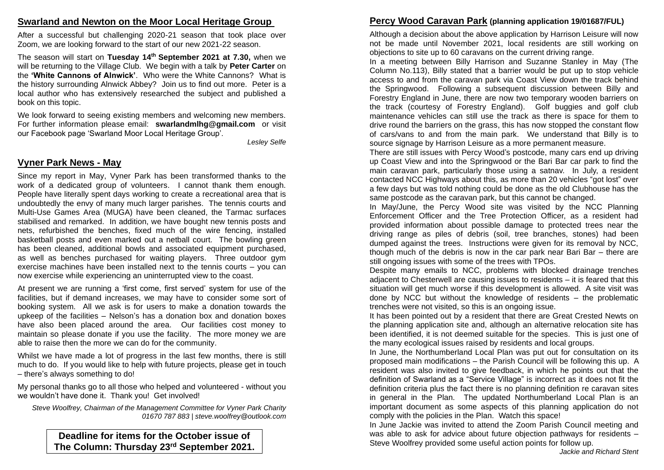#### **Swarland and Newton on the Moor Local Heritage Group**

After a successful but challenging 2020-21 season that took place over Zoom, we are looking forward to the start of our new 2021-22 season.

The season will start on **Tuesday 14th September 2021 at 7.30,** when we will be returning to the Village Club. We begin with a talk by **Peter Carter** on the **'White Cannons of Alnwick'**. Who were the White Cannons? What is the history surrounding Alnwick Abbey? Join us to find out more. Peter is a local author who has extensively researched the subject and published a book on this topic.

We look forward to seeing existing members and welcoming new members. For further information please email: **swarlandmlhg@gmail.com** or visit our Facebook page 'Swarland Moor Local Heritage Group'.

*Lesley Selfe*

#### **Vyner Park News - May**

Since my report in May, Vyner Park has been transformed thanks to the work of a dedicated group of volunteers. I cannot thank them enough. People have literally spent days working to create a recreational area that is undoubtedly the envy of many much larger parishes. The tennis courts and Multi-Use Games Area (MUGA) have been cleaned, the Tarmac surfaces stabilised and remarked. In addition, we have bought new tennis posts and nets, refurbished the benches, fixed much of the wire fencing, installed basketball posts and even marked out a netball court. The bowling green has been cleaned, additional bowls and associated equipment purchased, as well as benches purchased for waiting players. Three outdoor gym exercise machines have been installed next to the tennis courts – you can now exercise while experiencing an uninterrupted view to the coast.

At present we are running a 'first come, first served' system for use of the facilities, but if demand increases, we may have to consider some sort of booking system. All we ask is for users to make a donation towards the upkeep of the facilities – Nelson's has a donation box and donation boxes have also been placed around the area. Our facilities cost money to maintain so please donate if you use the facility. The more money we are able to raise then the more we can do for the community.

Whilst we have made a lot of progress in the last few months, there is still much to do. If you would like to help with future projects, please get in touch – there's always something to do!

My personal thanks go to all those who helped and volunteered - without you we wouldn't have done it. Thank you! Get involved!

*Steve Woolfrey, Chairman of the Management Committee for Vyner Park Charity 01670 787 883 | steve.woolfrey@outlook.com*

**Deadline for items for the October issue of The Column: Thursday 23 rd September 2021.**

# **Percy Wood Caravan Park (planning application 19/01687/FUL)**

Although a decision about the above application by Harrison Leisure will now not be made until November 2021, local residents are still working on objections to site up to 60 caravans on the current driving range.

In a meeting between Billy Harrison and Suzanne Stanley in May (The Column No.113), Billy stated that a barrier would be put up to stop vehicle access to and from the caravan park via Coast View down the track behind the Springwood. Following a subsequent discussion between Billy and Forestry England in June, there are now two temporary wooden barriers on the track (courtesy of Forestry England). Golf buggies and golf club maintenance vehicles can still use the track as there is space for them to drive round the barriers on the grass, this has now stopped the constant flow of cars/vans to and from the main park. We understand that Billy is to source signage by Harrison Leisure as a more permanent measure.

There are still issues with Percy Wood's postcode, many cars end up driving up Coast View and into the Springwood or the Bari Bar car park to find the main caravan park, particularly those using a satnav. In July, a resident contacted NCC Highways about this, as more than 20 vehicles "got lost" over a few days but was told nothing could be done as the old Clubhouse has the same postcode as the caravan park, but this cannot be changed.

In May/June, the Percy Wood site was visited by the NCC Planning Enforcement Officer and the Tree Protection Officer, as a resident had provided information about possible damage to protected trees near the driving range as piles of debris (soil, tree branches, stones) had been dumped against the trees. Instructions were given for its removal by NCC, though much of the debris is now in the car park near Bari Bar – there are still ongoing issues with some of the trees with TPOs.

Despite many emails to NCC, problems with blocked drainage trenches adjacent to Chesterwell are causing issues to residents – it is feared that this situation will get much worse if this development is allowed. A site visit was done by NCC but without the knowledge of residents – the problematic trenches were not visited, so this is an ongoing issue.

It has been pointed out by a resident that there are Great Crested Newts on the planning application site and, although an alternative relocation site has been identified, it is not deemed suitable for the species. This is just one of the many ecological issues raised by residents and local groups.

In June, the Northumberland Local Plan was put out for consultation on its proposed main modifications – the Parish Council will be following this up. A resident was also invited to give feedback, in which he points out that the definition of Swarland as a "Service Village" is incorrect as it does not fit the definition criteria plus the fact there is no planning definition re caravan sites in general in the Plan. The updated Northumberland Local Plan is an important document as some aspects of this planning application do not comply with the policies in the Plan. Watch this space!

In June Jackie was invited to attend the Zoom Parish Council meeting and was able to ask for advice about future objection pathways for residents – Steve Woolfrey provided some useful action points for follow up.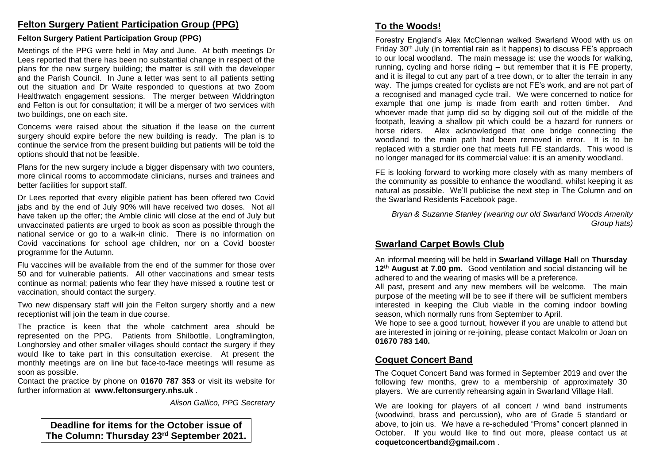## **Felton Surgery Patient Participation Group (PPG)**

#### **Felton Surgery Patient Participation Group (PPG)**

Meetings of the PPG were held in May and June. At both meetings Dr Lees reported that there has been no substantial change in respect of the plans for the new surgery building; the matter is still with the developer and the Parish Council. In June a letter was sent to all patients setting out the situation and Dr Waite responded to questions at two Zoom Healthwatch engagement sessions. The merger between Widdrington and Felton is out for consultation; it will be a merger of two services with two buildings, one on each site.

Concerns were raised about the situation if the lease on the current surgery should expire before the new building is ready. The plan is to continue the service from the present building but patients will be told the options should that not be feasible.

Plans for the new surgery include a bigger dispensary with two counters, more clinical rooms to accommodate clinicians, nurses and trainees and better facilities for support staff.

Dr Lees reported that every eligible patient has been offered two Covid jabs and by the end of July 90% will have received two doses. Not all have taken up the offer; the Amble clinic will close at the end of July but unvaccinated patients are urged to book as soon as possible through the national service or go to a walk-in clinic. There is no information on Covid vaccinations for school age children, nor on a Covid booster programme for the Autumn.

Flu vaccines will be available from the end of the summer for those over 50 and for vulnerable patients. All other vaccinations and smear tests continue as normal; patients who fear they have missed a routine test or vaccination, should contact the surgery.

Two new dispensary staff will join the Felton surgery shortly and a new receptionist will join the team in due course.

The practice is keen that the whole catchment area should be represented on the PPG. Patients from Shilbottle, Longframlington, Longhorsley and other smaller villages should contact the surgery if they would like to take part in this consultation exercise. At present the monthly meetings are on line but face-to-face meetings will resume as soon as possible.

Contact the practice by phone on **01670 787 353** or visit its website for further information at **www.feltonsurgery.nhs.uk** .

*Alison Gallico, PPG Secretary*

**Deadline for items for the October issue of The Column: Thursday 23 rd September 2021.**

## **To the Woods!**

Forestry England's Alex McClennan walked Swarland Wood with us on Friday  $30<sup>th</sup>$  July (in torrential rain as it happens) to discuss FE's approach to our local woodland. The main message is: use the woods for walking, running, cycling and horse riding – but remember that it is FE property, and it is illegal to cut any part of a tree down, or to alter the terrain in any way. The jumps created for cyclists are not FE's work, and are not part of a recognised and managed cycle trail. We were concerned to notice for example that one jump is made from earth and rotten timber. And whoever made that jump did so by digging soil out of the middle of the footpath, leaving a shallow pit which could be a hazard for runners or horse riders. Alex acknowledged that one bridge connecting the woodland to the main path had been removed in error. It is to be replaced with a sturdier one that meets full FE standards. This wood is no longer managed for its commercial value: it is an amenity woodland.

FE is looking forward to working more closely with as many members of the community as possible to enhance the woodland, whilst keeping it as natural as possible. We'll publicise the next step in The Column and on the Swarland Residents Facebook page.

*Bryan & Suzanne Stanley (wearing our old Swarland Woods Amenity Group hats)*

## **Swarland Carpet Bowls Club**

An informal meeting will be held in **Swarland Village Hal**l on **Thursday 12th August at 7.00 pm.** Good ventilation and social distancing will be adhered to and the wearing of masks will be a preference.

All past, present and any new members will be welcome. The main purpose of the meeting will be to see if there will be sufficient members interested in keeping the Club viable in the coming indoor bowling season, which normally runs from September to April.

We hope to see a good turnout, however if you are unable to attend but are interested in joining or re-joining, please contact Malcolm or Joan on **01670 783 140.** 

## **Coquet Concert Band**

The Coquet Concert Band was formed in September 2019 and over the following few months, grew to a membership of approximately 30 players. We are currently rehearsing again in Swarland Village Hall.

We are looking for players of all concert / wind band instruments (woodwind, brass and percussion), who are of Grade 5 standard or above, to join us. We have a re-scheduled "Proms" concert planned in October. If you would like to find out more, please contact us at **coquetconcertband@gmail.com** .